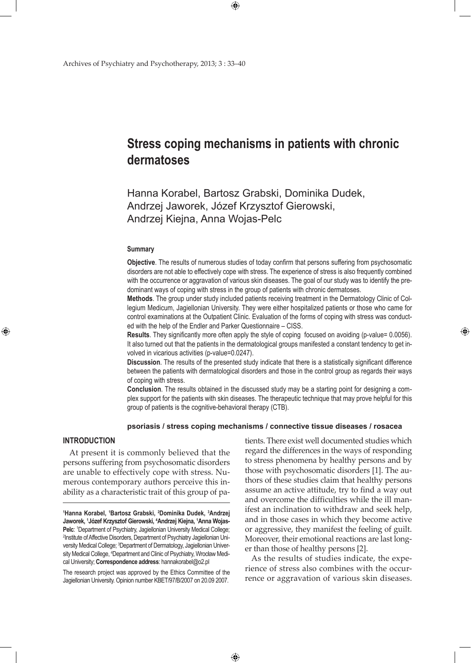# **Stress coping mechanisms in patients with chronic dermatoses**

Hanna Korabel, Bartosz Grabski, Dominika Dudek, Andrzej Jaworek, Józef Krzysztof Gierowski, Andrzej Kiejna, Anna Wojas-Pelc

 $\bigoplus$ 

#### **Summary**

**Objective**. The results of numerous studies of today confirm that persons suffering from psychosomatic disorders are not able to effectively cope with stress. The experience of stress is also frequently combined with the occurrence or aggravation of various skin diseases. The goal of our study was to identify the predominant ways of coping with stress in the group of patients with chronic dermatoses.

**Methods**. The group under study included patients receiving treatment in the Dermatology Clinic of Collegium Medicum, Jagiellonian University. They were either hospitalized patients or those who came for control examinations at the Outpatient Clinic. Evaluation of the forms of coping with stress was conducted with the help of the Endler and Parker Questionnaire – CISS.

**Results**. They significantly more often apply the style of coping focused on avoiding (p-value= 0.0056). It also turned out that the patients in the dermatological groups manifested a constant tendency to get involved in vicarious activities (p-value=0.0247).

**Discussion**. The results of the presented study indicate that there is a statistically significant difference between the patients with dermatological disorders and those in the control group as regards their ways of coping with stress.

**Conclusion**. The results obtained in the discussed study may be a starting point for designing a complex support for the patients with skin diseases. The therapeutic technique that may prove helpful for this group of patients is the cognitive-behavioral therapy (CTB).

## **psoriasis / stress coping mechanisms / connective tissue diseases / rosacea**

 $\bigoplus$ 

## **Introduction**

⊕

At present it is commonly believed that the persons suffering from psychosomatic disorders are unable to effectively cope with stress. Numerous contemporary authors perceive this inability as a characteristic trait of this group of pa-

The research project was approved by the Ethics Committee of the Jagiellonian University. Opinion number KBET/97/B/2007 on 20.09 2007.

tients. There exist well documented studies which regard the differences in the ways of responding to stress phenomena by healthy persons and by those with psychosomatic disorders [1]. The authors of these studies claim that healthy persons assume an active attitude, try to find a way out and overcome the difficulties while the ill manifest an inclination to withdraw and seek help, and in those cases in which they become active or aggressive, they manifest the feeling of guilt. Moreover, their emotional reactions are last longer than those of healthy persons [2].

⊕

As the results of studies indicate, the experience of stress also combines with the occurrence or aggravation of various skin diseases.

**<sup>1</sup> Hanna Korabel, 1 Bartosz Grabski, <sup>2</sup> Dominika Dudek, 3 Andrzej Jaworek, 1 Józef Krzysztof Gierowski, <sup>4</sup> Andrzej Kiejna, 1 Anna Wojas-Pelc**: <sup>1</sup> Department of Psychiatry, Jagiellonian University Medical College; 2 Institute of Affective Disorders, Department of Psychiatry Jagiellonian University Medical College; <sup>3</sup>Department of Dermatology, Jagiellonian University Medical College, 4 Department and Clinic of Psychiatry, Wrocław Medical University; **Correspondence address**: hannakorabel@o2.pl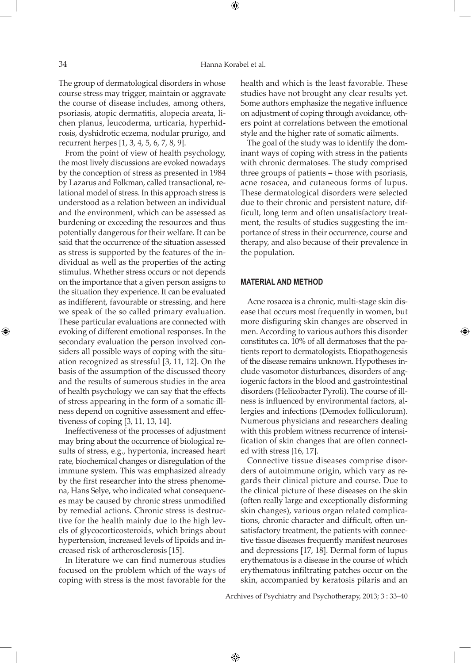The group of dermatological disorders in whose course stress may trigger, maintain or aggravate the course of disease includes, among others, psoriasis, atopic dermatitis, alopecia areata, lichen planus, leucoderma, urticaria, hyperhidrosis, dyshidrotic eczema, nodular prurigo, and recurrent herpes [1, 3, 4, 5, 6, 7, 8, 9].

From the point of view of health psychology, the most lively discussions are evoked nowadays by the conception of stress as presented in 1984 by Lazarus and Folkman, called transactional, relational model of stress. In this approach stress is understood as a relation between an individual and the environment, which can be assessed as burdening or exceeding the resources and thus potentially dangerous for their welfare. It can be said that the occurrence of the situation assessed as stress is supported by the features of the individual as well as the properties of the acting stimulus. Whether stress occurs or not depends on the importance that a given person assigns to the situation they experience. It can be evaluated as indifferent, favourable or stressing, and here we speak of the so called primary evaluation. These particular evaluations are connected with evoking of different emotional responses. In the secondary evaluation the person involved considers all possible ways of coping with the situation recognized as stressful [3, 11, 12]. On the basis of the assumption of the discussed theory and the results of sumerous studies in the area of health psychology we can say that the effects of stress appearing in the form of a somatic illness depend on cognitive assessment and effectiveness of coping [3, 11, 13, 14].

Ineffectiveness of the processes of adjustment may bring about the occurrence of biological results of stress, e.g., hypertonia, increased heart rate, biochemical changes or disregulation of the immune system. This was emphasized already by the first researcher into the stress phenomena, Hans Selye, who indicated what consequences may be caused by chronic stress unmodified by remedial actions. Chronic stress is destructive for the health mainly due to the high levels of glycocorticosteroids, which brings about hypertension, increased levels of lipoids and increased risk of artherosclerosis [15].

In literature we can find numerous studies focused on the problem which of the ways of coping with stress is the most favorable for the

health and which is the least favorable. These studies have not brought any clear results yet. Some authors emphasize the negative influence on adjustment of coping through avoidance, others point at correlations between the emotional style and the higher rate of somatic ailments.

The goal of the study was to identify the dominant ways of coping with stress in the patients with chronic dermatoses. The study comprised three groups of patients – those with psoriasis, acne rosacea, and cutaneous forms of lupus. These dermatological disorders were selected due to their chronic and persistent nature, difficult, long term and often unsatisfactory treatment, the results of studies suggesting the importance of stress in their occurrence, course and therapy, and also because of their prevalence in the population.

# **Material and method**

Acne rosacea is a chronic, multi-stage skin disease that occurs most frequently in women, but more disfiguring skin changes are observed in men. According to various authors this disorder constitutes ca. 10% of all dermatoses that the patients report to dermatologists. Etiopathogenesis of the disease remains unknown. Hypotheses include vasomotor disturbances, disorders of angiogenic factors in the blood and gastrointestinal disorders (Helicobacter Pyroli). The course of illness is influenced by environmental factors, allergies and infections (Demodex folliculorum). Numerous physicians and researchers dealing with this problem witness recurrence of intensification of skin changes that are often connected with stress [16, 17].

Connective tissue diseases comprise disorders of autoimmune origin, which vary as regards their clinical picture and course. Due to the clinical picture of these diseases on the skin (often really large and exceptionally disforming skin changes), various organ related complications, chronic character and difficult, often unsatisfactory treatment, the patients with connective tissue diseases frequently manifest neuroses and depressions [17, 18]. Dermal form of lupus erythematous is a disease in the course of which erythematous infiltrating patches occur on the skin, accompanied by keratosis pilaris and an

Archives of Psychiatry and Psychotherapy, 2013; 3 : 33–40

 $\bigoplus$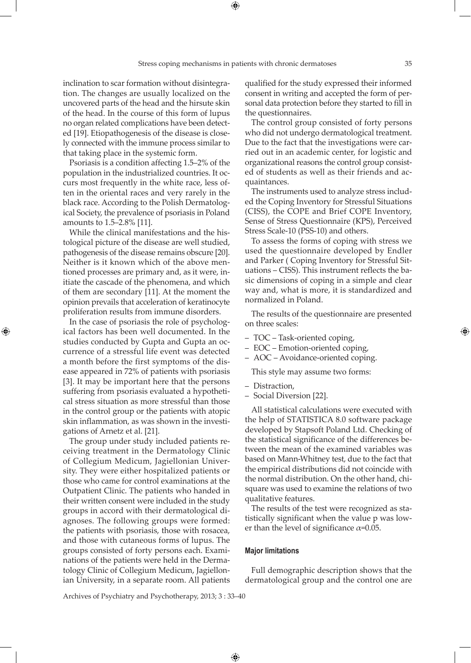⊕

inclination to scar formation without disintegration. The changes are usually localized on the uncovered parts of the head and the hirsute skin of the head. In the course of this form of lupus no organ related complications have been detected [19]. Etiopathogenesis of the disease is closely connected with the immune process similar to that taking place in the systemic form.

Psoriasis is a condition affecting 1.5–2% of the population in the industrialized countries. It occurs most frequently in the white race, less often in the oriental races and very rarely in the black race. According to the Polish Dermatological Society, the prevalence of psoriasis in Poland amounts to 1.5–2.8% [11].

While the clinical manifestations and the histological picture of the disease are well studied, pathogenesis of the disease remains obscure [20]. Neither is it known which of the above mentioned processes are primary and, as it were, initiate the cascade of the phenomena, and which of them are secondary [11]. At the moment the opinion prevails that acceleration of keratinocyte proliferation results from immune disorders.

In the case of psoriasis the role of psychological factors has been well documented. In the studies conducted by Gupta and Gupta an occurrence of a stressful life event was detected a month before the first symptoms of the disease appeared in 72% of patients with psoriasis [3]. It may be important here that the persons suffering from psoriasis evaluated a hypothetical stress situation as more stressful than those in the control group or the patients with atopic skin inflammation, as was shown in the investigations of Arnetz et al. [21].

⊕

The group under study included patients receiving treatment in the Dermatology Clinic of Collegium Medicum, Jagiellonian University. They were either hospitalized patients or those who came for control examinations at the Outpatient Clinic. The patients who handed in their written consent were included in the study groups in accord with their dermatological diagnoses. The following groups were formed: the patients with psoriasis, those with rosacea, and those with cutaneous forms of lupus. The groups consisted of forty persons each. Examinations of the patients were held in the Dermatology Clinic of Collegium Medicum, Jagiellonian University, in a separate room. All patients

qualified for the study expressed their informed consent in writing and accepted the form of personal data protection before they started to fill in the questionnaires.

The control group consisted of forty persons who did not undergo dermatological treatment. Due to the fact that the investigations were carried out in an academic center, for logistic and organizational reasons the control group consisted of students as well as their friends and acquaintances.

The instruments used to analyze stress included the Coping Inventory for Stressful Situations (CISS), the COPE and Brief COPE Inventory, Sense of Stress Questionnaire (KPS), Perceived Stress Scale-10 (PSS-10) and others.

To assess the forms of coping with stress we used the questionnaire developed by Endler and Parker ( Coping Inventory for Stressful Situations – CISS). This instrument reflects the basic dimensions of coping in a simple and clear way and, what is more, it is standardized and normalized in Poland.

The results of the questionnaire are presented on three scales:

- TOC Task-oriented coping,
- EOC Emotion-oriented coping,
- AOC Avoidance-oriented coping.

This style may assume two forms:

- Distraction,
- Social Diversion [22].

All statistical calculations were executed with the help of STATISTICA 8.0 software package developed by Stapsoft Poland Ltd. Checking of the statistical significance of the differences between the mean of the examined variables was based on Mann-Whitney test, due to the fact that the empirical distributions did not coincide with the normal distribution. On the other hand, chisquare was used to examine the relations of two qualitative features.

The results of the test were recognized as statistically significant when the value p was lower than the level of significance  $\alpha$ =0.05.

## **Major limitations**

 $\bigoplus$ 

Full demographic description shows that the dermatological group and the control one are

Archives of Psychiatry and Psychotherapy, 2013; 3 : 33–40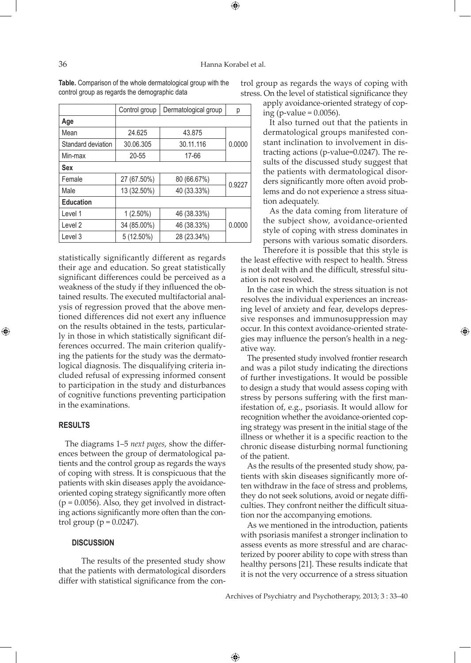⊕

|                    | Control group | Dermatological group | р      |
|--------------------|---------------|----------------------|--------|
| Age                |               |                      |        |
| Mean               | 24.625        | 43.875               |        |
| Standard deviation | 30.06.305     | 30.11.116            | 0.0000 |
| Min-max            | 20-55         | 17-66                |        |
| <b>Sex</b>         |               |                      |        |
| Female             | 27 (67.50%)   | 80 (66.67%)          | 0.9227 |
| Male               | 13 (32.50%)   | 40 (33.33%)          |        |
| <b>Education</b>   |               |                      |        |
| Level 1            | $1(2.50\%)$   | 46 (38.33%)          |        |
| Level 2            | 34 (85.00%)   | 46 (38.33%)          | 0.0000 |
| Level 3            | 5 (12.50%)    | 28 (23.34%)          |        |

**Table.** Comparison of the whole dermatological group with the control group as regards the demographic data

statistically significantly different as regards their age and education. So great statistically significant differences could be perceived as a weakness of the study if they influenced the obtained results. The executed multifactorial analysis of regression proved that the above mentioned differences did not exert any influence on the results obtained in the tests, particularly in those in which statistically significant differences occurred. The main criterion qualifying the patients for the study was the dermatological diagnosis. The disqualifying criteria included refusal of expressing informed consent to participation in the study and disturbances of cognitive functions preventing participation in the examinations.

# **Results**

⊕

The diagrams 1–5 *next pages*, show the differences between the group of dermatological patients and the control group as regards the ways of coping with stress. It is conspicuous that the patients with skin diseases apply the avoidanceoriented coping strategy significantly more often  $(p = 0.0056)$ . Also, they get involved in distracting actions significantly more often than the control group ( $p = 0.0247$ ).

## **Discussion**

 The results of the presented study show that the patients with dermatological disorders differ with statistical significance from the control group as regards the ways of coping with stress. On the level of statistical significance they apply avoidance-oriented strategy of cop-

ing (p-value  $= 0.0056$ ).

It also turned out that the patients in dermatological groups manifested constant inclination to involvement in distracting actions (p-value=0.0247). The results of the discussed study suggest that the patients with dermatological disorders significantly more often avoid problems and do not experience a stress situation adequately.

As the data coming from literature of the subject show, avoidance-oriented style of coping with stress dominates in persons with various somatic disorders.

Therefore it is possible that this style is the least effective with respect to health. Stress is not dealt with and the difficult, stressful situation is not resolved.

In the case in which the stress situation is not resolves the individual experiences an increasing level of anxiety and fear, develops depressive responses and immunosuppression may occur. In this context avoidance-oriented strategies may influence the person's health in a negative way.

The presented study involved frontier research and was a pilot study indicating the directions of further investigations. It would be possible to design a study that would assess coping with stress by persons suffering with the first manifestation of, e.g., psoriasis. It would allow for recognition whether the avoidance-oriented coping strategy was present in the initial stage of the illness or whether it is a specific reaction to the chronic disease disturbing normal functioning of the patient.

As the results of the presented study show, patients with skin diseases significantly more often withdraw in the face of stress and problems, they do not seek solutions, avoid or negate difficulties. They confront neither the difficult situation nor the accompanying emotions.

As we mentioned in the introduction, patients with psoriasis manifest a stronger inclination to assess events as more stressful and are characterized by poorer ability to cope with stress than healthy persons [21]. These results indicate that it is not the very occurrence of a stress situation

Archives of Psychiatry and Psychotherapy, 2013; 3 : 33–40

 $\bigoplus$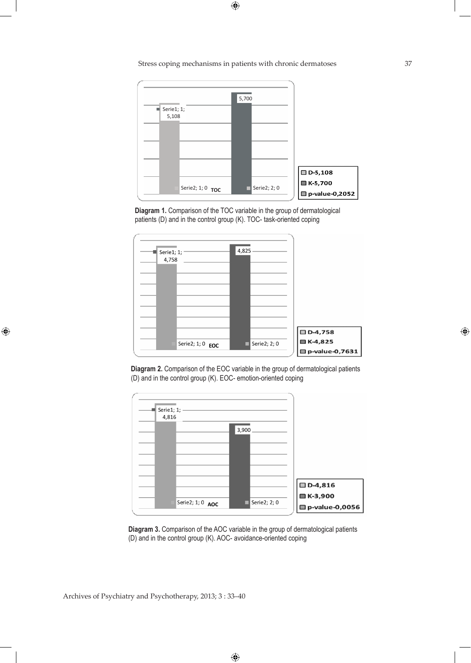Stress coping mechanisms in patients with chronic dermatoses 37

 $\bigoplus$ 



**Diagram 1.** Comparison of the TOC variable in the group of dermatological patients (D) and in the control group (K). TOC- task-oriented coping



**Diagram 2.** Comparison of the EOC variable in the group of dermatological patients (D) and in the control group (K). EOC- emotion-oriented coping



**Diagram 3.** Comparison of the AOC variable in the group of dermatological patients (D) and in the control group (K). AOC- avoidance-oriented coping

Archives of Psychiatry and Psychotherapy, 2013; 3 : 33–40

 $\bigoplus$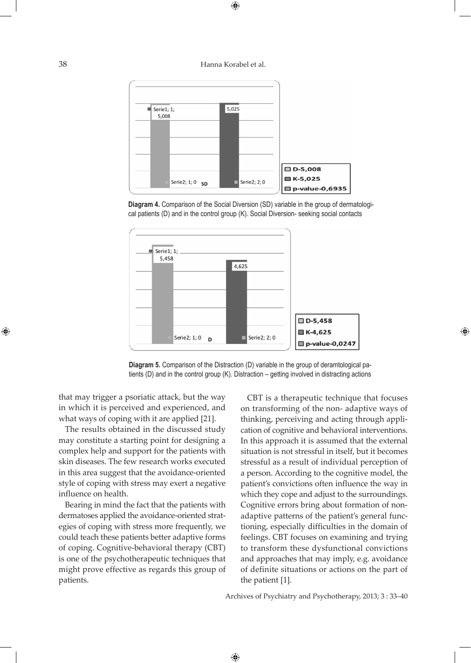38 Hanna Korabel et al.

 $\bigoplus$ 







**Diagram 5.** Comparison of the Distraction (D) variable in the group of deramtological patients (D) and in the control group (K). Distraction – getting involved in distracting actions

 $\bigoplus$ 

that may trigger a psoriatic attack, but the way in which it is perceived and experienced, and what ways of coping with it are applied [21].

The results obtained in the discussed study may constitute a starting point for designing a complex help and support for the patients with skin diseases. The few research works executed in this area suggest that the avoidance-oriented style of coping with stress may exert a negative influence on health.

Bearing in mind the fact that the patients with dermatoses applied the avoidance-oriented strategies of coping with stress more frequently, we could teach these patients better adaptive forms of coping. Cognitive-behavioral therapy (CBT) is one of the psychotherapeutic techniques that might prove effective as regards this group of patients.

CBT is a therapeutic technique that focuses on transforming of the non- adaptive ways of thinking, perceiving and acting through application of cognitive and behavioral interventions. In this approach it is assumed that the external situation is not stressful in itself, but it becomes stressful as a result of individual perception of a person. According to the cognitive model, the patient's convictions often influence the way in which they cope and adjust to the surroundings. Cognitive errors bring about formation of nonadaptive patterns of the patient's general functioning, especially difficulties in the domain of feelings. CBT focuses on examining and trying to transform these dysfunctional convictions and approaches that may imply, e.g. avoidance of definite situations or actions on the part of the patient [1].

⊕

Archives of Psychiatry and Psychotherapy, 2013; 3 : 33–40